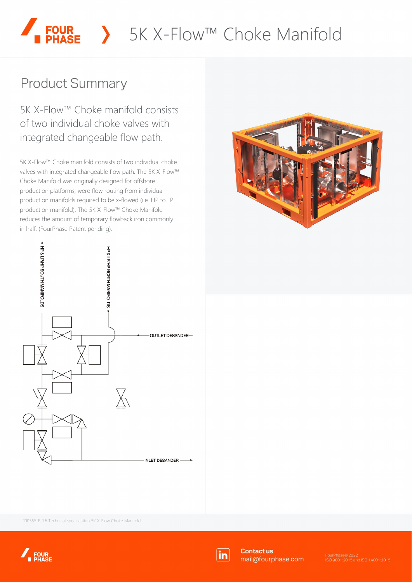# **FOUR** > 5K X-Flow™ Choke Manifold

# **Product Summary**

5K X-Flow™ Choke manifold consists of two individual choke valves with integrated changeable flow path.

5K X-Flow™ Choke manifold consists of two individual choke valves with integrated changeable flow path. The 5K X-Flow™ Choke Manifold was originally designed for offshore production platforms, were flow routing from individual production manifolds required to be x-flowed (i.e. HP to LP production manifold). The 5K X-Flow™ Choke Manifold reduces the amount of temporary flowback iron commonly in half. (FourPhase Patent pending).





100555-E\_1.6 Technical specification 5K X-Flow Choke Manifold





**Contact us** mail@fourphase.com